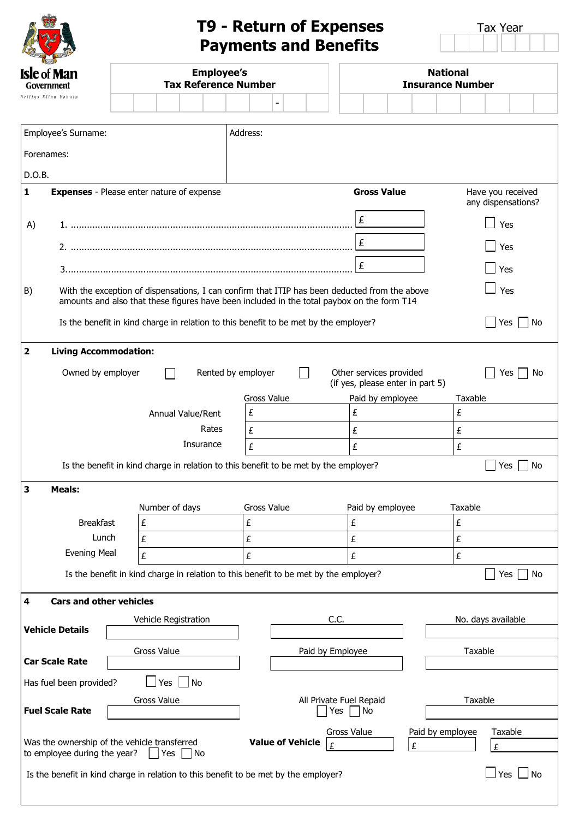| <b>OCUNOU</b>             | <b>CER</b> | STABL |  |
|---------------------------|------------|-------|--|
| <b>Isle</b> of <b>Man</b> |            |       |  |
|                           | Government |       |  |
| Reiltys Ellan Vannin      |            |       |  |
|                           |            |       |  |

## **T9 - Return of Expenses** Tax Year **Payments and Benefits**

|  | Tax Year |  |
|--|----------|--|
|  |          |  |

| <b>Isle of Man</b><br>Government                                                                      |                                                                                                                                                                                             | <b>Employee's</b><br><b>Tax Reference Number</b> |   |                      |  |                                                                                      |   |                                                                                                |                               |                  | <b>National</b><br><b>Insurance Number</b> |          |                  |  |  |  |                    |                       |                    |                   |
|-------------------------------------------------------------------------------------------------------|---------------------------------------------------------------------------------------------------------------------------------------------------------------------------------------------|--------------------------------------------------|---|----------------------|--|--------------------------------------------------------------------------------------|---|------------------------------------------------------------------------------------------------|-------------------------------|------------------|--------------------------------------------|----------|------------------|--|--|--|--------------------|-----------------------|--------------------|-------------------|
|                                                                                                       | Reiltys Ellan Vannin                                                                                                                                                                        |                                                  |   |                      |  |                                                                                      |   |                                                                                                |                               |                  |                                            |          |                  |  |  |  |                    |                       |                    |                   |
|                                                                                                       | Address:                                                                                                                                                                                    |                                                  |   |                      |  |                                                                                      |   |                                                                                                |                               |                  |                                            |          |                  |  |  |  |                    |                       |                    |                   |
|                                                                                                       | Employee's Surname:                                                                                                                                                                         |                                                  |   |                      |  |                                                                                      |   |                                                                                                |                               |                  |                                            |          |                  |  |  |  |                    |                       |                    |                   |
|                                                                                                       | Forenames:                                                                                                                                                                                  |                                                  |   |                      |  |                                                                                      |   |                                                                                                |                               |                  |                                            |          |                  |  |  |  |                    |                       |                    |                   |
|                                                                                                       | D.O.B.<br><b>Gross Value</b><br><b>Expenses</b> - Please enter nature of expense<br>Have you received                                                                                       |                                                  |   |                      |  |                                                                                      |   |                                                                                                |                               |                  |                                            |          |                  |  |  |  |                    |                       |                    |                   |
| $\mathbf{1}$                                                                                          |                                                                                                                                                                                             |                                                  |   |                      |  |                                                                                      |   |                                                                                                |                               |                  |                                            |          |                  |  |  |  |                    |                       | any dispensations? |                   |
| A)                                                                                                    |                                                                                                                                                                                             |                                                  |   |                      |  |                                                                                      |   |                                                                                                |                               |                  |                                            |          | £                |  |  |  |                    | Yes                   |                    |                   |
|                                                                                                       |                                                                                                                                                                                             |                                                  |   |                      |  |                                                                                      |   |                                                                                                |                               |                  |                                            | £<br>Yes |                  |  |  |  |                    |                       |                    |                   |
|                                                                                                       | £                                                                                                                                                                                           |                                                  |   |                      |  |                                                                                      |   |                                                                                                |                               |                  | Yes                                        |          |                  |  |  |  |                    |                       |                    |                   |
| B)                                                                                                    | With the exception of dispensations, I can confirm that ITIP has been deducted from the above<br>amounts and also that these figures have been included in the total paybox on the form T14 |                                                  |   |                      |  |                                                                                      |   |                                                                                                |                               |                  |                                            |          |                  |  |  |  |                    |                       | Yes                |                   |
|                                                                                                       | Is the benefit in kind charge in relation to this benefit to be met by the employer?                                                                                                        |                                                  |   |                      |  |                                                                                      |   |                                                                                                |                               |                  |                                            |          |                  |  |  |  |                    | Yes<br>$\blacksquare$ |                    | No                |
| $\overline{\mathbf{2}}$                                                                               | <b>Living Accommodation:</b>                                                                                                                                                                |                                                  |   |                      |  |                                                                                      |   |                                                                                                |                               |                  |                                            |          |                  |  |  |  |                    |                       |                    |                   |
|                                                                                                       | Rented by employer<br>Owned by employer<br>Other services provided<br>Yes<br>No.<br>(if yes, please enter in part 5)                                                                        |                                                  |   |                      |  |                                                                                      |   |                                                                                                |                               |                  |                                            |          |                  |  |  |  |                    |                       |                    |                   |
|                                                                                                       |                                                                                                                                                                                             |                                                  |   |                      |  |                                                                                      |   | Gross Value                                                                                    |                               |                  |                                            |          | Paid by employee |  |  |  | Taxable            |                       |                    |                   |
|                                                                                                       |                                                                                                                                                                                             |                                                  |   | Annual Value/Rent    |  |                                                                                      |   | £                                                                                              |                               |                  |                                            | £        |                  |  |  |  | £                  |                       |                    |                   |
|                                                                                                       |                                                                                                                                                                                             |                                                  |   |                      |  | Rates                                                                                |   | £                                                                                              |                               |                  |                                            | £        |                  |  |  |  | £                  |                       |                    |                   |
|                                                                                                       | Insurance                                                                                                                                                                                   |                                                  |   |                      |  |                                                                                      |   | £<br>£<br>Is the benefit in kind charge in relation to this benefit to be met by the employer? |                               |                  |                                            |          | £                |  |  |  |                    |                       |                    |                   |
|                                                                                                       |                                                                                                                                                                                             |                                                  |   |                      |  |                                                                                      |   |                                                                                                |                               |                  |                                            |          |                  |  |  |  |                    |                       | Yes $ $ $ $ No     |                   |
| 3                                                                                                     | <b>Meals:</b>                                                                                                                                                                               |                                                  |   |                      |  |                                                                                      |   |                                                                                                |                               |                  |                                            |          |                  |  |  |  |                    |                       |                    |                   |
|                                                                                                       |                                                                                                                                                                                             |                                                  |   | Number of days       |  |                                                                                      |   | Gross Value                                                                                    |                               |                  |                                            |          | Paid by employee |  |  |  | Taxable            |                       |                    |                   |
|                                                                                                       | <b>Breakfast</b>                                                                                                                                                                            |                                                  | £ |                      |  |                                                                                      | £ |                                                                                                |                               |                  |                                            | £        |                  |  |  |  | £                  |                       |                    |                   |
|                                                                                                       | Lunch                                                                                                                                                                                       |                                                  | £ |                      |  |                                                                                      | £ |                                                                                                |                               |                  |                                            | £        |                  |  |  |  | £                  |                       |                    |                   |
|                                                                                                       | <b>Evening Meal</b>                                                                                                                                                                         |                                                  | £ |                      |  |                                                                                      | £ |                                                                                                |                               |                  |                                            | £        |                  |  |  |  | £                  |                       |                    |                   |
|                                                                                                       | Is the benefit in kind charge in relation to this benefit to be met by the employer?                                                                                                        |                                                  |   |                      |  |                                                                                      |   |                                                                                                |                               |                  |                                            |          |                  |  |  |  |                    |                       | Yes                | No                |
| 4                                                                                                     | <b>Cars and other vehicles</b>                                                                                                                                                              |                                                  |   |                      |  |                                                                                      |   |                                                                                                |                               |                  |                                            |          |                  |  |  |  |                    |                       |                    |                   |
|                                                                                                       | <b>Vehicle Details</b>                                                                                                                                                                      |                                                  |   | Vehicle Registration |  |                                                                                      |   |                                                                                                |                               |                  | C.C.                                       |          |                  |  |  |  | No. days available |                       |                    |                   |
|                                                                                                       |                                                                                                                                                                                             |                                                  |   |                      |  |                                                                                      |   |                                                                                                |                               |                  |                                            |          |                  |  |  |  |                    |                       |                    |                   |
|                                                                                                       | <b>Car Scale Rate</b>                                                                                                                                                                       |                                                  |   | Gross Value          |  |                                                                                      |   |                                                                                                |                               | Paid by Employee |                                            |          |                  |  |  |  | Taxable            |                       |                    |                   |
| $Yes \mid No$<br>Has fuel been provided?                                                              |                                                                                                                                                                                             |                                                  |   |                      |  |                                                                                      |   |                                                                                                |                               |                  |                                            |          |                  |  |  |  |                    |                       |                    |                   |
| Gross Value<br><b>Fuel Scale Rate</b>                                                                 |                                                                                                                                                                                             |                                                  |   |                      |  | Yes                                                                                  |   |                                                                                                | All Private Fuel Repaid<br>No |                  |                                            |          | Taxable          |  |  |  |                    |                       |                    |                   |
| Was the ownership of the vehicle transferred<br>to employee during the year?<br>$\exists$ Yes<br>  No |                                                                                                                                                                                             |                                                  |   |                      |  | Gross Value<br>Paid by employee<br>Taxable<br><b>Value of Vehicle</b><br>£<br>£<br>£ |   |                                                                                                |                               |                  |                                            |          |                  |  |  |  |                    |                       |                    |                   |
|                                                                                                       | Is the benefit in kind charge in relation to this benefit to be met by the employer?                                                                                                        |                                                  |   |                      |  |                                                                                      |   |                                                                                                |                               |                  |                                            |          |                  |  |  |  |                    | $\Box$ Yes            |                    | $\blacksquare$ No |